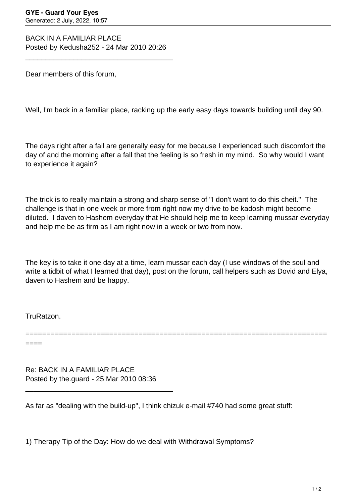BACK IN A FAMILIAR PLACE Posted by Kedusha252 - 24 Mar 2010 20:26

\_\_\_\_\_\_\_\_\_\_\_\_\_\_\_\_\_\_\_\_\_\_\_\_\_\_\_\_\_\_\_\_\_\_\_\_\_

Dear members of this forum,

Well, I'm back in a familiar place, racking up the early easy days towards building until day 90.

The days right after a fall are generally easy for me because I experienced such discomfort the day of and the morning after a fall that the feeling is so fresh in my mind. So why would I want to experience it again?

The trick is to really maintain a strong and sharp sense of "I don't want to do this cheit." The challenge is that in one week or more from right now my drive to be kadosh might become diluted. I daven to Hashem everyday that He should help me to keep learning mussar everyday and help me be as firm as I am right now in a week or two from now.

The key is to take it one day at a time, learn mussar each day (I use windows of the soul and write a tidbit of what I learned that day), post on the forum, call helpers such as Dovid and Elya, daven to Hashem and be happy.

========================================================================

TruRatzon.

====

Re: BACK IN A FAMILIAR PLACE Posted by the.guard - 25 Mar 2010 08:36

\_\_\_\_\_\_\_\_\_\_\_\_\_\_\_\_\_\_\_\_\_\_\_\_\_\_\_\_\_\_\_\_\_\_\_\_\_

As far as "dealing with the build-up", I think chizuk e-mail #740 had some great stuff:

1) Therapy Tip of the Day: How do we deal with Withdrawal Symptoms?